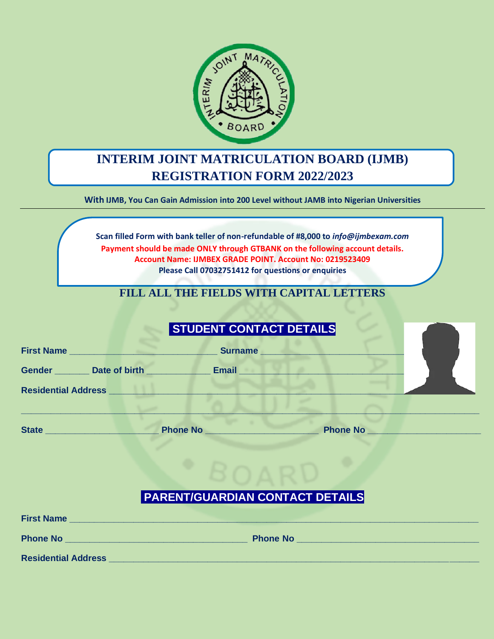

# **INTERIM JOINT MATRICULATION BOARD (IJMB) REGISTRATION FORM 2022/2023**

**With IJMB, You Can Gain Admission into 200 Level without JAMB into Nigerian Universities**

**Scan filled Form with bank teller of non-refundable of #8,000 to** *info@ijmbexam.com* **Payment should be made ONLY through GTBANK on the following account details. Account Name: IJMBEX GRADE POINT. Account No: 0219523409 Please Call 07032751412 for questions or enquiries**

## **FILL ALL THE FIELDS WITH CAPITAL LETTERS**

|                                                                                                                                                                                                                                      |                 | <b>STUDENT CONTACT DETAILS</b>                                                                                                                                                                                                           |                 |  |
|--------------------------------------------------------------------------------------------------------------------------------------------------------------------------------------------------------------------------------------|-----------------|------------------------------------------------------------------------------------------------------------------------------------------------------------------------------------------------------------------------------------------|-----------------|--|
| First Name <b>And American Contract Contract Contract Contract Contract Contract Contract Contract Contract Contract Contract Contract Contract Contract Contract Contract Contract Contract Contract Contract Contract Contract</b> |                 | <b>Surname <i>Contract Contract Contract Contract Contract Contract Contract Contract Contract Contract Contract Contract Contract Contract Contract Contract Contract Contract Contract Contract Contract Contract Contract Con</i></b> |                 |  |
| Gender Date of birth <b>CONTEX CONTEX CONTEX CONTEX CONTEX CONTEX CONTEX CONTEX CONTEX CONTEX CONTEX CONTEX CONTEX CONTEX CONTEX CONTEX CONTEX CONTEX CONTEX CONTEX CONTEX CONTEX CONTEX CONTEX CONTEX CONTEX CONTEX CONTEX CONT</b> |                 | Email                                                                                                                                                                                                                                    |                 |  |
| <b>Residential Address</b>                                                                                                                                                                                                           |                 |                                                                                                                                                                                                                                          |                 |  |
|                                                                                                                                                                                                                                      |                 |                                                                                                                                                                                                                                          |                 |  |
| State <u>and the state of the state of the state of the state of the state of the state of the state of the state of the state of the state of the state of the state of the state of the state of the state of the state of the</u> | <b>Phone No</b> |                                                                                                                                                                                                                                          | <b>Phone No</b> |  |

# **PARENT/GUARDIAN CONTACT DETAILS**

| <b>First Name</b>          |                 |  |
|----------------------------|-----------------|--|
| <b>Phone No</b>            | <b>Phone No</b> |  |
| <b>Residential Address</b> |                 |  |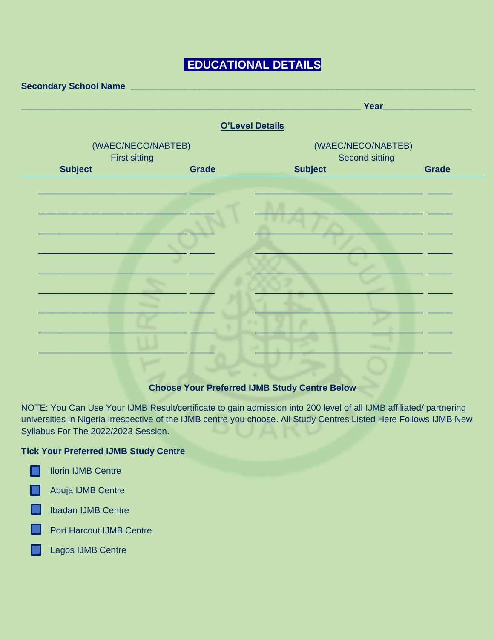# **EDUCATIONAL DETAILS**

|                                            | <b>O'Level Details</b> |                                             |              |  |
|--------------------------------------------|------------------------|---------------------------------------------|--------------|--|
| (WAEC/NECO/NABTEB)<br><b>First sitting</b> |                        | (WAEC/NECO/NABTEB)<br><b>Second sitting</b> |              |  |
| <b>Subject</b>                             | <b>Grade</b>           | <b>Subject</b>                              | <b>Grade</b> |  |
|                                            |                        |                                             |              |  |
|                                            |                        |                                             |              |  |
|                                            |                        |                                             |              |  |
|                                            |                        |                                             |              |  |
|                                            |                        |                                             |              |  |
|                                            |                        |                                             |              |  |
|                                            |                        |                                             |              |  |
|                                            |                        |                                             |              |  |
|                                            |                        |                                             |              |  |
|                                            |                        |                                             |              |  |
|                                            |                        |                                             |              |  |

### **Choose Your Preferred IJMB Study Centre Below**

NOTE: You Can Use Your IJMB Result/certificate to gain admission into 200 level of all IJMB affiliated/ partnering universities in Nigeria irrespective of the IJMB centre you choose. All Study Centres Listed Here Follows IJMB New Syllabus For The 2022/2023 Session.

#### **Tick Your Preferred IJMB Study Centre**

Abuja IJMB Centre

**IDadan IJMB Centre** 

**Port Harcout IJMB Centre** 

Lagos IJMB Centre